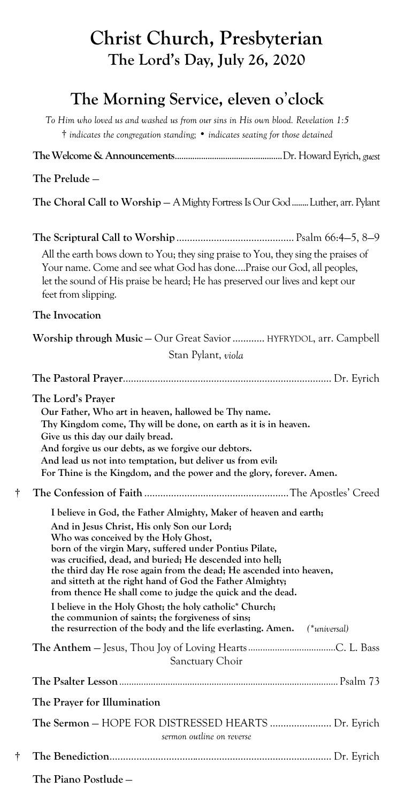# **Christ Church, Presbyterian The Lord's Day, July 26, 2020**

## **The Morning Serv**i**ce, eleven o**'**clock**

*To Him who loved us and washed us from our sins in His own blood. Revelation 1:5* † *indicates the congregation standing;* • *indicates seating for those detained*

|   | The Prelude-                                                                                                                                                                                                                                                                                                                                                                                                                                                                                                                                                                                                                                                                   |  |
|---|--------------------------------------------------------------------------------------------------------------------------------------------------------------------------------------------------------------------------------------------------------------------------------------------------------------------------------------------------------------------------------------------------------------------------------------------------------------------------------------------------------------------------------------------------------------------------------------------------------------------------------------------------------------------------------|--|
|   | The Choral Call to Worship - A Mighty Fortress Is Our God  Luther, arr. Pylant                                                                                                                                                                                                                                                                                                                                                                                                                                                                                                                                                                                                 |  |
|   | All the earth bows down to You; they sing praise to You, they sing the praises of<br>Your name. Come and see what God has donePraise our God, all peoples,<br>let the sound of His praise be heard; He has preserved our lives and kept our<br>feet from slipping.                                                                                                                                                                                                                                                                                                                                                                                                             |  |
|   | The Invocation                                                                                                                                                                                                                                                                                                                                                                                                                                                                                                                                                                                                                                                                 |  |
|   | Worship through Music - Our Great Savior  HYFRYDOL, arr. Campbell<br>Stan Pylant, viola                                                                                                                                                                                                                                                                                                                                                                                                                                                                                                                                                                                        |  |
|   |                                                                                                                                                                                                                                                                                                                                                                                                                                                                                                                                                                                                                                                                                |  |
|   | The Lord's Prayer<br>Our Father, Who art in heaven, hallowed be Thy name.<br>Thy Kingdom come, Thy will be done, on earth as it is in heaven.<br>Give us this day our daily bread.<br>And forgive us our debts, as we forgive our debtors.<br>And lead us not into temptation, but deliver us from evil:<br>For Thine is the Kingdom, and the power and the glory, forever. Amen.                                                                                                                                                                                                                                                                                              |  |
| t |                                                                                                                                                                                                                                                                                                                                                                                                                                                                                                                                                                                                                                                                                |  |
|   | I believe in God, the Father Almighty, Maker of heaven and earth;<br>And in Jesus Christ, His only Son our Lord;<br>Who was conceived by the Holy Ghost,<br>born of the virgin Mary, suffered under Pontius Pilate,<br>was crucified, dead, and buried; He descended into hell;<br>the third day He rose again from the dead; He ascended into heaven,<br>and sitteth at the right hand of God the Father Almighty;<br>from thence He shall come to judge the quick and the dead.<br>I believe in the Holy Ghost; the holy catholic* Church;<br>the communion of saints; the forgiveness of sins;<br>the resurrection of the body and the life everlasting. Amen. (*universal) |  |
|   | Sanctuary Choir                                                                                                                                                                                                                                                                                                                                                                                                                                                                                                                                                                                                                                                                |  |
|   |                                                                                                                                                                                                                                                                                                                                                                                                                                                                                                                                                                                                                                                                                |  |
|   | The Prayer for Illumination                                                                                                                                                                                                                                                                                                                                                                                                                                                                                                                                                                                                                                                    |  |
|   | The Sermon - HOPE FOR DISTRESSED HEARTS  Dr. Eyrich<br>sermon outline on reverse                                                                                                                                                                                                                                                                                                                                                                                                                                                                                                                                                                                               |  |
| t |                                                                                                                                                                                                                                                                                                                                                                                                                                                                                                                                                                                                                                                                                |  |

**The Piano Postlude** —